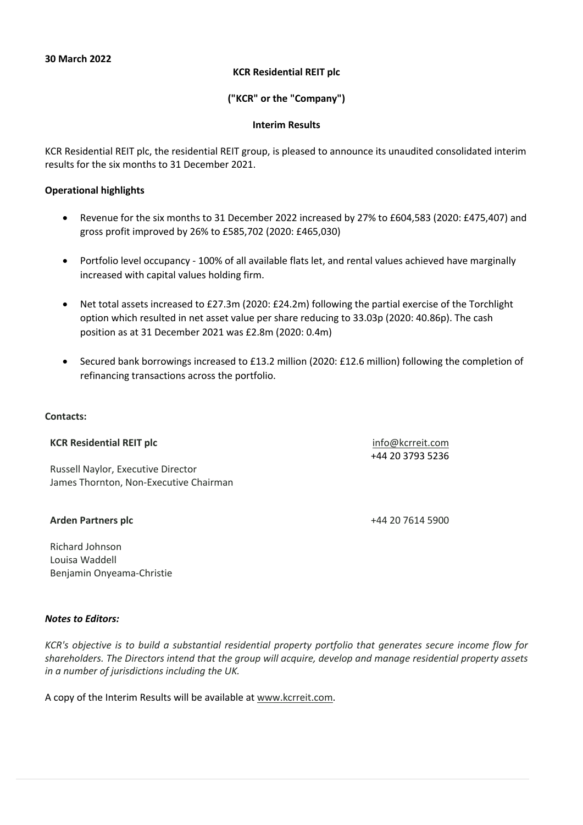### **KCR Residential REIT plc**

## **("KCR" or the "Company")**

#### **Interim Results**

KCR Residential REIT plc, the residential REIT group, is pleased to announce its unaudited consolidated interim results for the six months to 31 December 2021.

#### **Operational highlights**

- Revenue for the six months to 31 December 2022 increased by 27% to £604,583 (2020: £475,407) and gross profit improved by 26% to £585,702 (2020: £465,030)
- Portfolio level occupancy 100% of all available flats let, and rental values achieved have marginally increased with capital values holding firm.
- Net total assets increased to £27.3m (2020: £24.2m) following the partial exercise of the Torchlight option which resulted in net asset value per share reducing to 33.03p (2020: 40.86p). The cash position as at 31 December 2021 was £2.8m (2020: 0.4m)
- Secured bank borrowings increased to £13.2 million (2020: £12.6 million) following the completion of refinancing transactions across the portfolio.

#### **Contacts:**

#### **KCR Residential REIT plc** info@kcrreit.com

Russell Naylor, Executive Director James Thornton, Non-Executive Chairman

### **Arden Partners plc** +44 20 7614 5900

+44 20 3793 5236

Richard Johnson Louisa Waddell Benjamin Onyeama-Christie

### *Notes to Editors:*

*KCR's objective is to build a substantial residential property portfolio that generates secure income flow for shareholders. The Directors intend that the group will acquire, develop and manage residential property assets in a number of jurisdictions including the UK.*

A copy of the Interim Results will be available at www.kcrreit.com.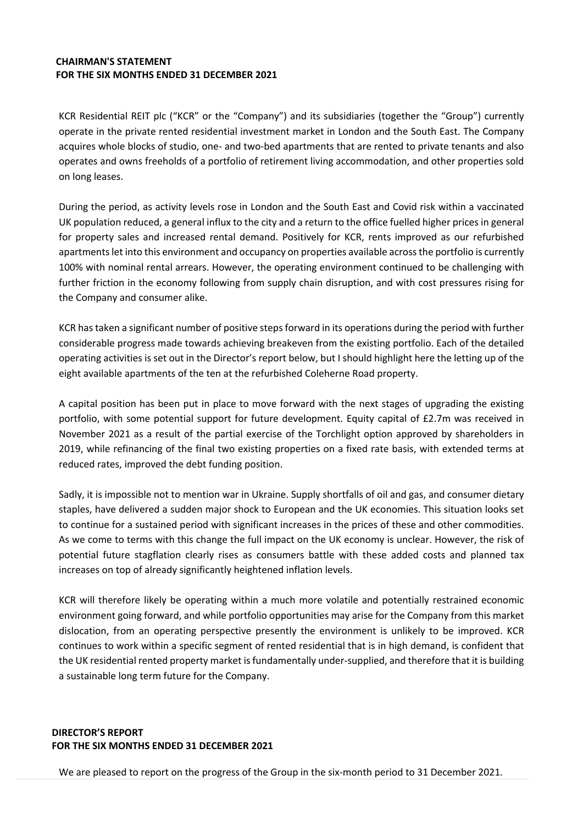### **CHAIRMAN'S STATEMENT FOR THE SIX MONTHS ENDED 31 DECEMBER 2021**

KCR Residential REIT plc ("KCR" or the "Company") and its subsidiaries (together the "Group") currently operate in the private rented residential investment market in London and the South East. The Company acquires whole blocks of studio, one- and two-bed apartments that are rented to private tenants and also operates and owns freeholds of a portfolio of retirement living accommodation, and other properties sold on long leases.

During the period, as activity levels rose in London and the South East and Covid risk within a vaccinated UK population reduced, a general influx to the city and a return to the office fuelled higher prices in general for property sales and increased rental demand. Positively for KCR, rents improved as our refurbished apartments let into this environment and occupancy on properties available across the portfolio is currently 100% with nominal rental arrears. However, the operating environment continued to be challenging with further friction in the economy following from supply chain disruption, and with cost pressures rising for the Company and consumer alike.

KCR has taken a significant number of positive steps forward in its operations during the period with further considerable progress made towards achieving breakeven from the existing portfolio. Each of the detailed operating activities is set out in the Director's report below, but I should highlight here the letting up of the eight available apartments of the ten at the refurbished Coleherne Road property.

A capital position has been put in place to move forward with the next stages of upgrading the existing portfolio, with some potential support for future development. Equity capital of £2.7m was received in November 2021 as a result of the partial exercise of the Torchlight option approved by shareholders in 2019, while refinancing of the final two existing properties on a fixed rate basis, with extended terms at reduced rates, improved the debt funding position.

Sadly, it is impossible not to mention war in Ukraine. Supply shortfalls of oil and gas, and consumer dietary staples, have delivered a sudden major shock to European and the UK economies. This situation looks set to continue for a sustained period with significant increases in the prices of these and other commodities. As we come to terms with this change the full impact on the UK economy is unclear. However, the risk of potential future stagflation clearly rises as consumers battle with these added costs and planned tax increases on top of already significantly heightened inflation levels.

KCR will therefore likely be operating within a much more volatile and potentially restrained economic environment going forward, and while portfolio opportunities may arise for the Company from this market dislocation, from an operating perspective presently the environment is unlikely to be improved. KCR continues to work within a specific segment of rented residential that is in high demand, is confident that the UK residential rented property market isfundamentally under-supplied, and therefore that it is building a sustainable long term future for the Company.

# **DIRECTOR'S REPORT FOR THE SIX MONTHS ENDED 31 DECEMBER 2021**

We are pleased to report on the progress of the Group in the six-month period to 31 December 2021.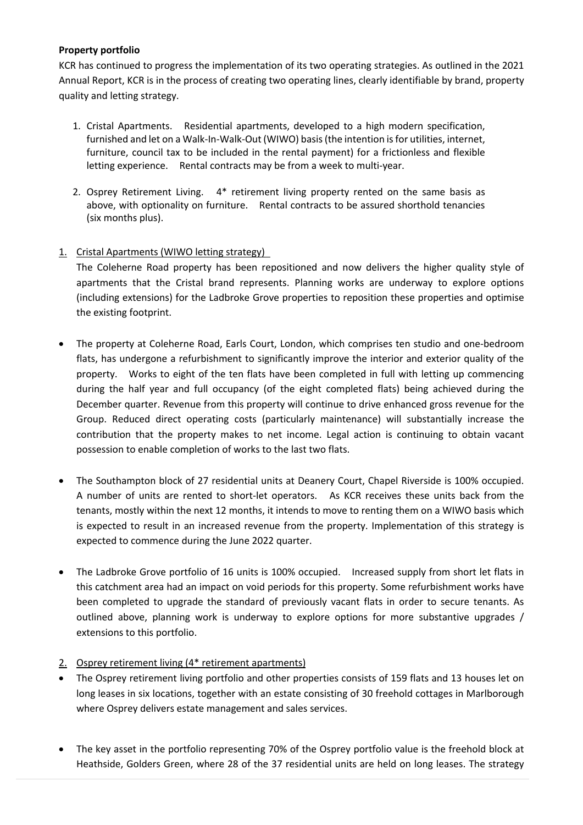# **Property portfolio**

KCR has continued to progress the implementation of its two operating strategies. As outlined in the 2021 Annual Report, KCR is in the process of creating two operating lines, clearly identifiable by brand, property quality and letting strategy.

- 1. Cristal Apartments. Residential apartments, developed to a high modern specification, furnished and let on a Walk-In-Walk-Out (WIWO) basis (the intention is for utilities, internet, furniture, council tax to be included in the rental payment) for a frictionless and flexible letting experience. Rental contracts may be from a week to multi-year.
- 2. Osprey Retirement Living. 4\* retirement living property rented on the same basis as above, with optionality on furniture. Rental contracts to be assured shorthold tenancies (six months plus).

# 1. Cristal Apartments (WIWO letting strategy)

The Coleherne Road property has been repositioned and now delivers the higher quality style of apartments that the Cristal brand represents. Planning works are underway to explore options (including extensions) for the Ladbroke Grove properties to reposition these properties and optimise the existing footprint.

- The property at Coleherne Road, Earls Court, London, which comprises ten studio and one-bedroom flats, has undergone a refurbishment to significantly improve the interior and exterior quality of the property. Works to eight of the ten flats have been completed in full with letting up commencing during the half year and full occupancy (of the eight completed flats) being achieved during the December quarter. Revenue from this property will continue to drive enhanced gross revenue for the Group. Reduced direct operating costs (particularly maintenance) will substantially increase the contribution that the property makes to net income. Legal action is continuing to obtain vacant possession to enable completion of works to the last two flats.
- The Southampton block of 27 residential units at Deanery Court, Chapel Riverside is 100% occupied. A number of units are rented to short-let operators. As KCR receives these units back from the tenants, mostly within the next 12 months, it intends to move to renting them on a WIWO basis which is expected to result in an increased revenue from the property. Implementation of this strategy is expected to commence during the June 2022 quarter.
- The Ladbroke Grove portfolio of 16 units is 100% occupied. Increased supply from short let flats in this catchment area had an impact on void periods for this property. Some refurbishment works have been completed to upgrade the standard of previously vacant flats in order to secure tenants. As outlined above, planning work is underway to explore options for more substantive upgrades / extensions to this portfolio.
- 2. Osprey retirement living (4\* retirement apartments)
- The Osprey retirement living portfolio and other properties consists of 159 flats and 13 houses let on long leases in six locations, together with an estate consisting of 30 freehold cottages in Marlborough where Osprey delivers estate management and sales services.
- The key asset in the portfolio representing 70% of the Osprey portfolio value is the freehold block at Heathside, Golders Green, where 28 of the 37 residential units are held on long leases. The strategy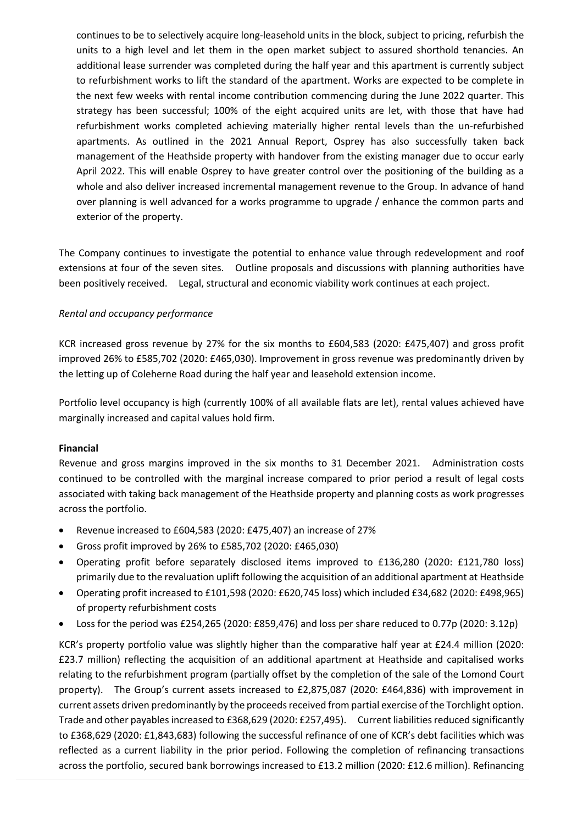continues to be to selectively acquire long-leasehold units in the block, subject to pricing, refurbish the units to a high level and let them in the open market subject to assured shorthold tenancies. An additional lease surrender was completed during the half year and this apartment is currently subject to refurbishment works to lift the standard of the apartment. Works are expected to be complete in the next few weeks with rental income contribution commencing during the June 2022 quarter. This strategy has been successful; 100% of the eight acquired units are let, with those that have had refurbishment works completed achieving materially higher rental levels than the un-refurbished apartments. As outlined in the 2021 Annual Report, Osprey has also successfully taken back management of the Heathside property with handover from the existing manager due to occur early April 2022. This will enable Osprey to have greater control over the positioning of the building as a whole and also deliver increased incremental management revenue to the Group. In advance of hand over planning is well advanced for a works programme to upgrade / enhance the common parts and exterior of the property.

The Company continues to investigate the potential to enhance value through redevelopment and roof extensions at four of the seven sites. Outline proposals and discussions with planning authorities have been positively received. Legal, structural and economic viability work continues at each project.

### *Rental and occupancy performance*

KCR increased gross revenue by 27% for the six months to £604,583 (2020: £475,407) and gross profit improved 26% to £585,702 (2020: £465,030). Improvement in gross revenue was predominantly driven by the letting up of Coleherne Road during the half year and leasehold extension income.

Portfolio level occupancy is high (currently 100% of all available flats are let), rental values achieved have marginally increased and capital values hold firm.

### **Financial**

Revenue and gross margins improved in the six months to 31 December 2021. Administration costs continued to be controlled with the marginal increase compared to prior period a result of legal costs associated with taking back management of the Heathside property and planning costs as work progresses across the portfolio.

- Revenue increased to £604,583 (2020: £475,407) an increase of 27%
- Gross profit improved by 26% to £585,702 (2020: £465,030)
- Operating profit before separately disclosed items improved to £136,280 (2020: £121,780 loss) primarily due to the revaluation uplift following the acquisition of an additional apartment at Heathside
- Operating profit increased to £101,598 (2020: £620,745 loss) which included £34,682 (2020: £498,965) of property refurbishment costs
- Loss for the period was £254,265 (2020: £859,476) and loss per share reduced to 0.77p (2020: 3.12p)

KCR's property portfolio value was slightly higher than the comparative half year at £24.4 million (2020: £23.7 million) reflecting the acquisition of an additional apartment at Heathside and capitalised works relating to the refurbishment program (partially offset by the completion of the sale of the Lomond Court property). The Group's current assets increased to £2,875,087 (2020: £464,836) with improvement in current assets driven predominantly by the proceeds received from partial exercise of the Torchlight option. Trade and other payables increased to £368,629 (2020: £257,495). Current liabilities reduced significantly to £368,629 (2020: £1,843,683) following the successful refinance of one of KCR's debt facilities which was reflected as a current liability in the prior period. Following the completion of refinancing transactions across the portfolio, secured bank borrowings increased to £13.2 million (2020: £12.6 million). Refinancing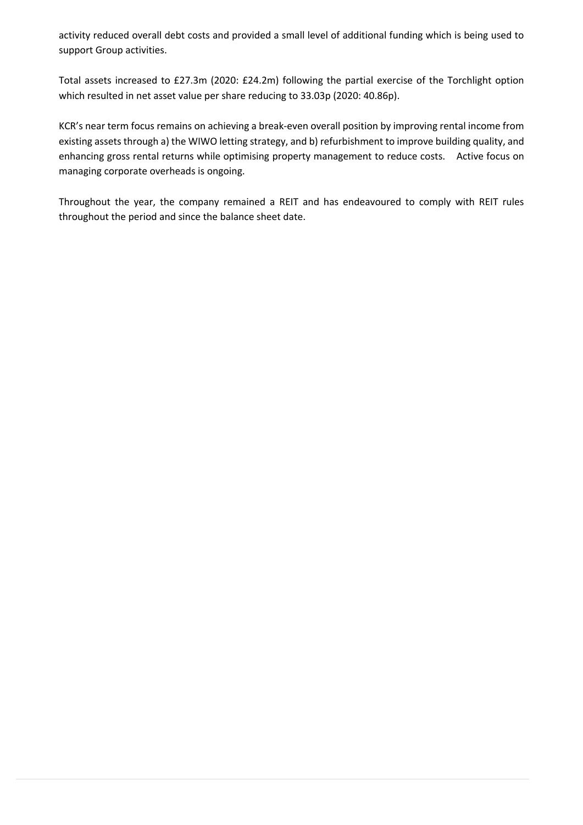activity reduced overall debt costs and provided a small level of additional funding which is being used to support Group activities.

Total assets increased to £27.3m (2020: £24.2m) following the partial exercise of the Torchlight option which resulted in net asset value per share reducing to 33.03p (2020: 40.86p).

KCR's near term focus remains on achieving a break-even overall position by improving rental income from existing assets through a) the WIWO letting strategy, and b) refurbishment to improve building quality, and enhancing gross rental returns while optimising property management to reduce costs. Active focus on managing corporate overheads is ongoing.

Throughout the year, the company remained a REIT and has endeavoured to comply with REIT rules throughout the period and since the balance sheet date.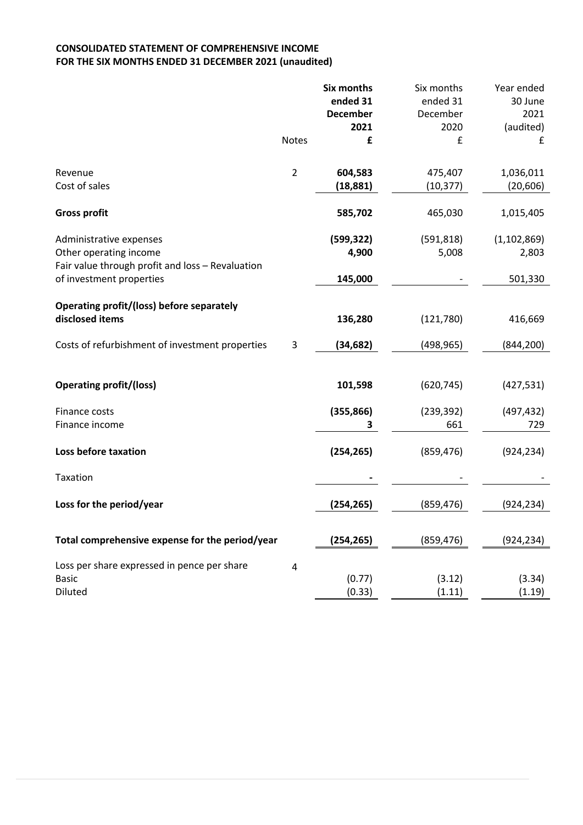### **CONSOLIDATED STATEMENT OF COMPREHENSIVE INCOME FOR THE SIX MONTHS ENDED 31 DECEMBER 2021 (unaudited)**

|                                                                              |                | <b>Six months</b>           | Six months           | Year ended      |
|------------------------------------------------------------------------------|----------------|-----------------------------|----------------------|-----------------|
|                                                                              |                | ended 31<br><b>December</b> | ended 31<br>December | 30 June<br>2021 |
|                                                                              |                | 2021                        | 2020                 | (audited)       |
|                                                                              | <b>Notes</b>   | £                           | £                    | £               |
|                                                                              |                |                             |                      |                 |
| Revenue                                                                      | $\overline{2}$ | 604,583                     | 475,407              | 1,036,011       |
| Cost of sales                                                                |                | (18, 881)                   | (10, 377)            | (20, 606)       |
| <b>Gross profit</b>                                                          |                | 585,702                     | 465,030              | 1,015,405       |
| Administrative expenses                                                      |                | (599, 322)                  | (591, 818)           | (1, 102, 869)   |
| Other operating income                                                       |                | 4,900                       | 5,008                | 2,803           |
| Fair value through profit and loss - Revaluation<br>of investment properties |                | 145,000                     |                      | 501,330         |
|                                                                              |                |                             |                      |                 |
| Operating profit/(loss) before separately<br>disclosed items                 |                | 136,280                     | (121, 780)           | 416,669         |
| Costs of refurbishment of investment properties                              | 3              | (34, 682)                   | (498, 965)           | (844, 200)      |
|                                                                              |                |                             |                      |                 |
| <b>Operating profit/(loss)</b>                                               |                | 101,598                     | (620, 745)           | (427, 531)      |
| Finance costs                                                                |                | (355, 866)                  | (239, 392)           | (497, 432)      |
| Finance income                                                               |                | 3                           | 661                  | 729             |
| Loss before taxation                                                         |                | (254, 265)                  | (859, 476)           | (924, 234)      |
| Taxation                                                                     |                |                             |                      |                 |
| Loss for the period/year                                                     |                | (254,265)                   | (859, 476)           | (924, 234)      |
| Total comprehensive expense for the period/year                              |                | (254, 265)                  | (859, 476)           | (924, 234)      |
| Loss per share expressed in pence per share                                  | 4              |                             |                      |                 |
| <b>Basic</b>                                                                 |                | (0.77)                      | (3.12)               | (3.34)          |
| Diluted                                                                      |                | (0.33)                      | (1.11)               | (1.19)          |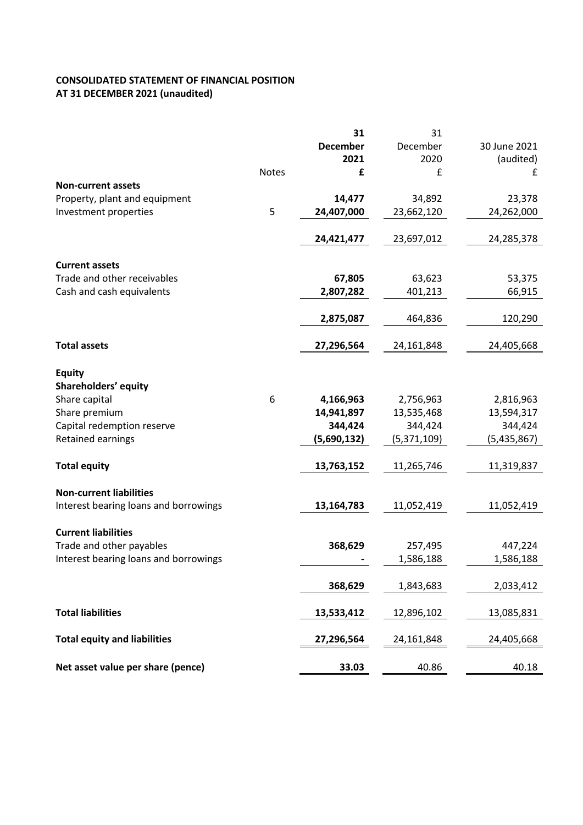# **CONSOLIDATED STATEMENT OF FINANCIAL POSITION AT 31 DECEMBER 2021 (unaudited)**

|                                       |              | 31              | 31          |              |
|---------------------------------------|--------------|-----------------|-------------|--------------|
|                                       |              | <b>December</b> | December    | 30 June 2021 |
|                                       |              | 2021            | 2020        | (audited)    |
|                                       | <b>Notes</b> | £               | £           | £            |
| <b>Non-current assets</b>             |              |                 |             |              |
| Property, plant and equipment         |              | 14,477          | 34,892      | 23,378       |
| Investment properties                 | 5            | 24,407,000      | 23,662,120  | 24,262,000   |
|                                       |              |                 |             |              |
|                                       |              | 24,421,477      | 23,697,012  | 24,285,378   |
|                                       |              |                 |             |              |
| <b>Current assets</b>                 |              |                 |             |              |
| Trade and other receivables           |              | 67,805          | 63,623      | 53,375       |
|                                       |              |                 |             |              |
| Cash and cash equivalents             |              | 2,807,282       | 401,213     | 66,915       |
|                                       |              |                 |             |              |
|                                       |              | 2,875,087       | 464,836     | 120,290      |
|                                       |              |                 |             |              |
| <b>Total assets</b>                   |              | 27,296,564      | 24,161,848  | 24,405,668   |
|                                       |              |                 |             |              |
| <b>Equity</b>                         |              |                 |             |              |
| Shareholders' equity                  |              |                 |             |              |
| Share capital                         | 6            | 4,166,963       | 2,756,963   | 2,816,963    |
| Share premium                         |              | 14,941,897      | 13,535,468  | 13,594,317   |
| Capital redemption reserve            |              | 344,424         | 344,424     | 344,424      |
| Retained earnings                     |              | (5,690,132)     | (5,371,109) | (5,435,867)  |
|                                       |              |                 |             |              |
| <b>Total equity</b>                   |              | 13,763,152      | 11,265,746  | 11,319,837   |
|                                       |              |                 |             |              |
| <b>Non-current liabilities</b>        |              |                 |             |              |
| Interest bearing loans and borrowings |              | 13,164,783      | 11,052,419  | 11,052,419   |
|                                       |              |                 |             |              |
| <b>Current liabilities</b>            |              |                 |             |              |
| Trade and other payables              |              | 368,629         | 257,495     | 447,224      |
| Interest bearing loans and borrowings |              |                 | 1,586,188   | 1,586,188    |
|                                       |              |                 |             |              |
|                                       |              | 368,629         | 1,843,683   | 2,033,412    |
|                                       |              |                 |             |              |
| <b>Total liabilities</b>              |              | 13,533,412      | 12,896,102  | 13,085,831   |
|                                       |              |                 |             |              |
| <b>Total equity and liabilities</b>   |              | 27,296,564      | 24,161,848  | 24,405,668   |
|                                       |              |                 |             |              |
|                                       |              |                 |             |              |
| Net asset value per share (pence)     |              | 33.03           | 40.86       | 40.18        |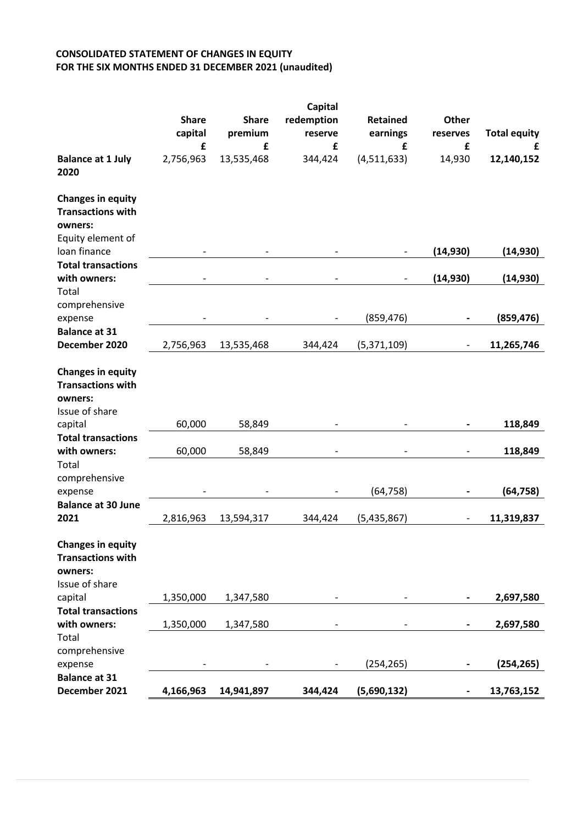# **CONSOLIDATED STATEMENT OF CHANGES IN EQUITY FOR THE SIX MONTHS ENDED 31 DECEMBER 2021 (unaudited)**

|                                                                                      |              |              | Capital    |                 |              |                     |
|--------------------------------------------------------------------------------------|--------------|--------------|------------|-----------------|--------------|---------------------|
|                                                                                      | <b>Share</b> | <b>Share</b> | redemption | <b>Retained</b> | <b>Other</b> |                     |
|                                                                                      | capital      | premium      | reserve    | earnings        | reserves     | <b>Total equity</b> |
|                                                                                      | £            | £            | £          | £               | £            | £                   |
| <b>Balance at 1 July</b><br>2020                                                     | 2,756,963    | 13,535,468   | 344,424    | (4,511,633)     | 14,930       | 12,140,152          |
| <b>Changes in equity</b><br><b>Transactions with</b><br>owners:<br>Equity element of |              |              |            |                 |              |                     |
| loan finance                                                                         |              |              |            |                 | (14, 930)    | (14, 930)           |
| <b>Total transactions</b><br>with owners:                                            |              |              |            |                 | (14, 930)    | (14, 930)           |
| Total                                                                                |              |              |            |                 |              |                     |
| comprehensive                                                                        |              |              |            |                 |              |                     |
| expense                                                                              |              |              |            | (859, 476)      |              | (859, 476)          |
| <b>Balance at 31</b><br>December 2020                                                | 2,756,963    | 13,535,468   | 344,424    | (5,371,109)     |              | 11,265,746          |
| <b>Changes in equity</b><br><b>Transactions with</b><br>owners:                      |              |              |            |                 |              |                     |
| Issue of share                                                                       |              |              |            |                 |              |                     |
| capital                                                                              | 60,000       | 58,849       |            |                 |              | 118,849             |
| <b>Total transactions</b><br>with owners:                                            | 60,000       | 58,849       |            |                 |              | 118,849             |
| Total<br>comprehensive                                                               |              |              |            |                 |              |                     |
| expense                                                                              |              |              |            | (64, 758)       |              | (64, 758)           |
| <b>Balance at 30 June</b><br>2021                                                    | 2,816,963    | 13,594,317   | 344,424    | (5,435,867)     |              | 11,319,837          |
| <b>Changes in equity</b><br><b>Transactions with</b><br>owners:<br>Issue of share    |              |              |            |                 |              |                     |
| capital                                                                              | 1,350,000    | 1,347,580    |            |                 |              | 2,697,580           |
| <b>Total transactions</b>                                                            |              |              |            |                 |              |                     |
| with owners:                                                                         | 1,350,000    | 1,347,580    |            |                 |              | 2,697,580           |
| Total                                                                                |              |              |            |                 |              |                     |
| comprehensive<br>expense                                                             |              |              |            | (254, 265)      |              | (254, 265)          |
| <b>Balance at 31</b>                                                                 |              |              |            |                 |              |                     |
| December 2021                                                                        | 4,166,963    | 14,941,897   | 344,424    | (5,690,132)     |              | 13,763,152          |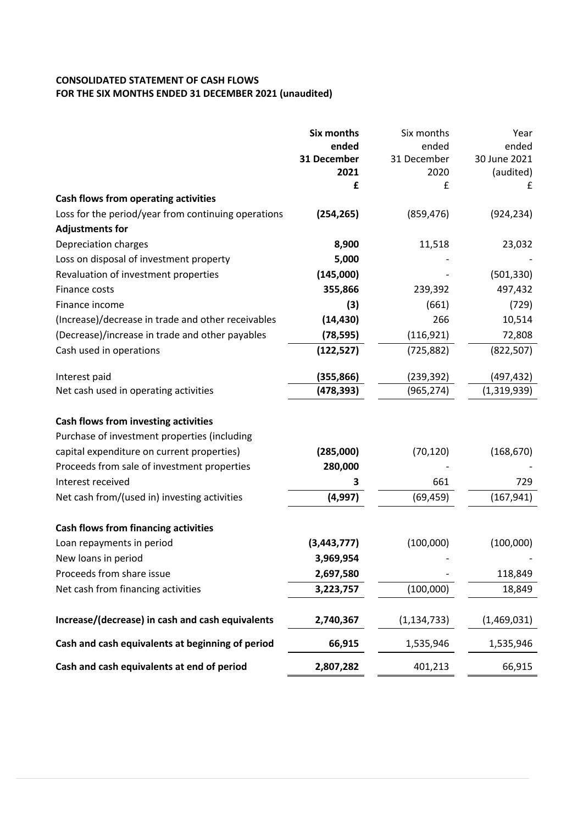## **CONSOLIDATED STATEMENT OF CASH FLOWS FOR THE SIX MONTHS ENDED 31 DECEMBER 2021 (unaudited)**

|                                                     | <b>Six months</b> | Six months    | Year           |
|-----------------------------------------------------|-------------------|---------------|----------------|
|                                                     | ended             | ended         | ended          |
|                                                     | 31 December       | 31 December   | 30 June 2021   |
|                                                     | 2021<br>£         | 2020<br>£     | (audited)<br>£ |
| Cash flows from operating activities                |                   |               |                |
| Loss for the period/year from continuing operations | (254, 265)        | (859, 476)    | (924, 234)     |
| <b>Adjustments for</b>                              |                   |               |                |
| Depreciation charges                                | 8,900             | 11,518        | 23,032         |
| Loss on disposal of investment property             | 5,000             |               |                |
| Revaluation of investment properties                | (145,000)         |               | (501, 330)     |
| Finance costs                                       | 355,866           | 239,392       | 497,432        |
| Finance income                                      | (3)               | (661)         | (729)          |
| (Increase)/decrease in trade and other receivables  | (14, 430)         | 266           | 10,514         |
| (Decrease)/increase in trade and other payables     | (78, 595)         | (116, 921)    | 72,808         |
| Cash used in operations                             | (122, 527)        | (725, 882)    | (822, 507)     |
| Interest paid                                       | (355, 866)        | (239, 392)    | (497,432)      |
| Net cash used in operating activities               | (478, 393)        | (965, 274)    | (1,319,939)    |
|                                                     |                   |               |                |
| Cash flows from investing activities                |                   |               |                |
| Purchase of investment properties (including        |                   |               |                |
| capital expenditure on current properties)          | (285,000)         | (70, 120)     | (168, 670)     |
| Proceeds from sale of investment properties         | 280,000           |               |                |
| Interest received                                   | 3                 | 661           | 729            |
| Net cash from/(used in) investing activities        | (4, 997)          | (69, 459)     | (167, 941)     |
| <b>Cash flows from financing activities</b>         |                   |               |                |
| Loan repayments in period                           | (3, 443, 777)     | (100,000)     | (100,000)      |
|                                                     | 3,969,954         |               |                |
| New loans in period<br>Proceeds from share issue    |                   |               | 118,849        |
|                                                     | 2,697,580         |               |                |
| Net cash from financing activities                  | 3,223,757         | (100,000)     | 18,849         |
| Increase/(decrease) in cash and cash equivalents    | 2,740,367         | (1, 134, 733) | (1,469,031)    |
| Cash and cash equivalents at beginning of period    | 66,915            | 1,535,946     | 1,535,946      |
| Cash and cash equivalents at end of period          | 2,807,282         | 401,213       | 66,915         |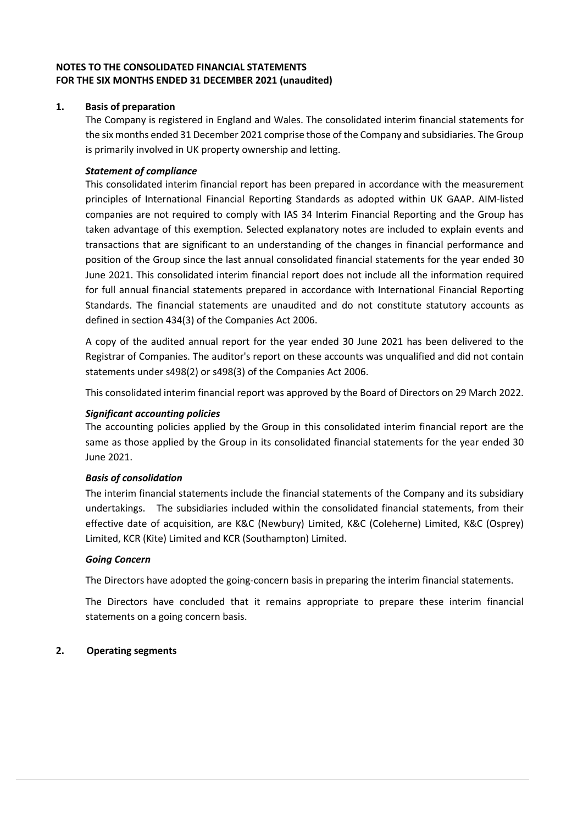## **NOTES TO THE CONSOLIDATED FINANCIAL STATEMENTS FOR THE SIX MONTHS ENDED 31 DECEMBER 2021 (unaudited)**

## **1. Basis of preparation**

The Company is registered in England and Wales. The consolidated interim financial statements for the six months ended 31 December 2021 comprise those of the Company and subsidiaries. The Group is primarily involved in UK property ownership and letting.

### *Statement of compliance*

This consolidated interim financial report has been prepared in accordance with the measurement principles of International Financial Reporting Standards as adopted within UK GAAP. AIM-listed companies are not required to comply with IAS 34 Interim Financial Reporting and the Group has taken advantage of this exemption. Selected explanatory notes are included to explain events and transactions that are significant to an understanding of the changes in financial performance and position of the Group since the last annual consolidated financial statements for the year ended 30 June 2021. This consolidated interim financial report does not include all the information required for full annual financial statements prepared in accordance with International Financial Reporting Standards. The financial statements are unaudited and do not constitute statutory accounts as defined in section 434(3) of the Companies Act 2006.

A copy of the audited annual report for the year ended 30 June 2021 has been delivered to the Registrar of Companies. The auditor's report on these accounts was unqualified and did not contain statements under s498(2) or s498(3) of the Companies Act 2006.

This consolidated interim financial report was approved by the Board of Directors on 29 March 2022.

### *Significant accounting policies*

The accounting policies applied by the Group in this consolidated interim financial report are the same as those applied by the Group in its consolidated financial statements for the year ended 30 June 2021.

## *Basis of consolidation*

The interim financial statements include the financial statements of the Company and its subsidiary undertakings. The subsidiaries included within the consolidated financial statements, from their effective date of acquisition, are K&C (Newbury) Limited, K&C (Coleherne) Limited, K&C (Osprey) Limited, KCR (Kite) Limited and KCR (Southampton) Limited.

### *Going Concern*

The Directors have adopted the going-concern basis in preparing the interim financial statements.

The Directors have concluded that it remains appropriate to prepare these interim financial statements on a going concern basis.

### **2. Operating segments**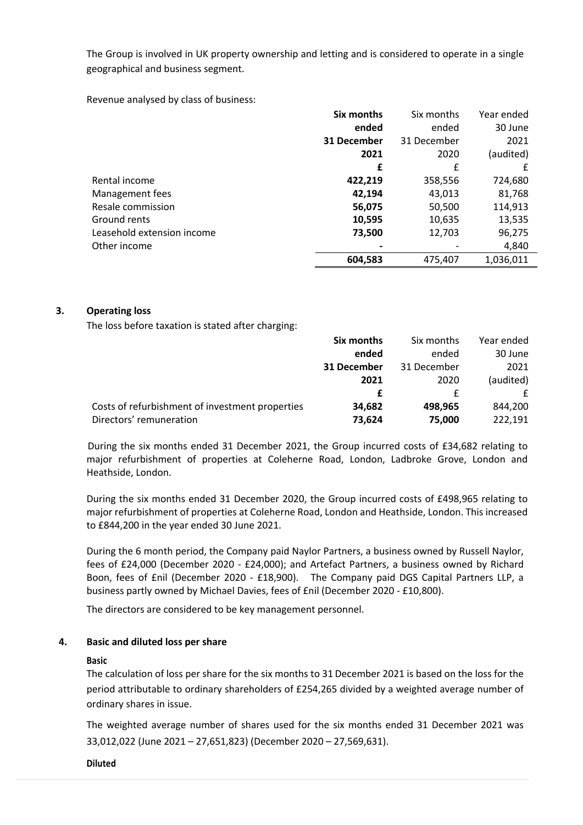The Group is involved in UK property ownership and letting and is considered to operate in a single geographical and business segment.

Revenue analysed by class of business:

|                            | Six months  | Six months  | Year ended |
|----------------------------|-------------|-------------|------------|
|                            | ended       | ended       | 30 June    |
|                            | 31 December | 31 December | 2021       |
|                            | 2021        | 2020        | (audited)  |
|                            | £           | £           |            |
| Rental income              | 422,219     | 358,556     | 724,680    |
| Management fees            | 42,194      | 43,013      | 81,768     |
| Resale commission          | 56,075      | 50,500      | 114,913    |
| Ground rents               | 10,595      | 10,635      | 13,535     |
| Leasehold extension income | 73,500      | 12,703      | 96,275     |
| Other income               |             |             | 4,840      |
|                            | 604,583     | 475,407     | 1,036,011  |

### **3. Operating loss**

The loss before taxation is stated after charging:

|                                                 | Six months  | Six months  | Year ended |
|-------------------------------------------------|-------------|-------------|------------|
|                                                 | ended       | ended       | 30 June    |
|                                                 | 31 December | 31 December | 2021       |
|                                                 | 2021        | 2020        | (audited)  |
|                                                 |             |             | f          |
| Costs of refurbishment of investment properties | 34,682      | 498,965     | 844,200    |
| Directors' remuneration                         | 73,624      | 75,000      | 222,191    |

During the six months ended 31 December 2021, the Group incurred costs of £34,682 relating to major refurbishment of properties at Coleherne Road, London, Ladbroke Grove, London and Heathside, London.

During the six months ended 31 December 2020, the Group incurred costs of £498,965 relating to major refurbishment of properties at Coleherne Road, London and Heathside, London. This increased to £844,200 in the year ended 30 June 2021.

During the 6 month period, the Company paid Naylor Partners, a business owned by Russell Naylor, fees of £24,000 (December 2020 - £24,000); and Artefact Partners, a business owned by Richard Boon, fees of £nil (December 2020 - £18,900). The Company paid DGS Capital Partners LLP, a business partly owned by Michael Davies, fees of £nil (December 2020 - £10,800).

The directors are considered to be key management personnel.

#### **4. Basic and diluted loss per share**

#### **Basic**

The calculation of loss per share for the six months to 31 December 2021 is based on the loss for the period attributable to ordinary shareholders of £254,265 divided by a weighted average number of ordinary shares in issue.

The weighted average number of shares used for the six months ended 31 December 2021 was 33,012,022 (June 2021 – 27,651,823) (December 2020 – 27,569,631).

**Diluted**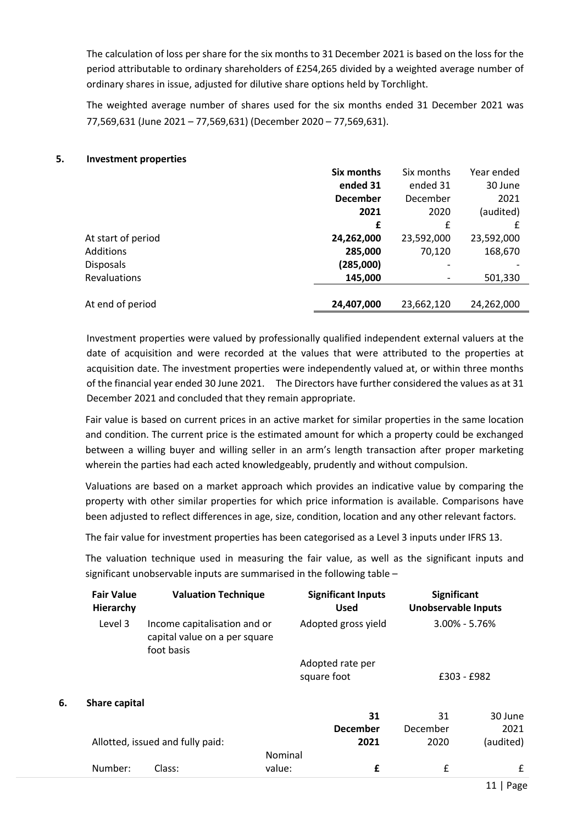The calculation of loss per share for the six months to 31 December 2021 is based on the loss for the period attributable to ordinary shareholders of £254,265 divided by a weighted average number of ordinary shares in issue, adjusted for dilutive share options held by Torchlight.

The weighted average number of shares used for the six months ended 31 December 2021 was 77,569,631 (June 2021 – 77,569,631) (December 2020 – 77,569,631).

### **5. Investment properties**

**Fair Value** 

|                    | Six months      | Six months | Year ended |
|--------------------|-----------------|------------|------------|
|                    | ended 31        | ended 31   | 30 June    |
|                    | <b>December</b> | December   | 2021       |
|                    | 2021            | 2020       | (audited)  |
|                    | £               | £          | £          |
| At start of period | 24,262,000      | 23,592,000 | 23,592,000 |
| Additions          | 285,000         | 70,120     | 168,670    |
| <b>Disposals</b>   | (285,000)       |            |            |
| Revaluations       | 145,000         |            | 501,330    |
|                    |                 |            |            |
| At end of period   | 24,407,000      | 23,662,120 | 24,262,000 |

Investment properties were valued by professionally qualified independent external valuers at the date of acquisition and were recorded at the values that were attributed to the properties at acquisition date. The investment properties were independently valued at, or within three months of the financial year ended 30 June 2021. The Directors have further considered the values as at 31 December 2021 and concluded that they remain appropriate.

Fair value is based on current prices in an active market for similar properties in the same location and condition. The current price is the estimated amount for which a property could be exchanged between a willing buyer and willing seller in an arm's length transaction after proper marketing wherein the parties had each acted knowledgeably, prudently and without compulsion.

Valuations are based on a market approach which provides an indicative value by comparing the property with other similar properties for which price information is available. Comparisons have been adjusted to reflect differences in age, size, condition, location and any other relevant factors.

The fair value for investment properties has been categorised as a Level 3 inputs under IFRS 13.

**Valuation Technique Significant Inputs**

The valuation technique used in measuring the fair value, as well as the significant inputs and significant unobservable inputs are summarised in the following table –

|         | rall value<br>Hierarchy | Valuation Technique                                                         |         | эідіннаны трасы<br><b>Used</b>  | эідінны<br><b>Unobservable Inputs</b> |           |
|---------|-------------------------|-----------------------------------------------------------------------------|---------|---------------------------------|---------------------------------------|-----------|
| Level 3 |                         | Income capitalisation and or<br>capital value on a per square<br>foot basis |         | Adopted gross yield             | $3.00\% - 5.76\%$                     |           |
|         |                         |                                                                             |         | Adopted rate per<br>square foot | £303 - £982                           |           |
| 6.      | Share capital           |                                                                             |         |                                 |                                       |           |
|         |                         |                                                                             |         | 31                              | 31                                    | 30 June   |
|         |                         |                                                                             |         | <b>December</b>                 | December                              | 2021      |
|         |                         | Allotted, issued and fully paid:                                            |         | 2021                            | 2020                                  | (audited) |
|         |                         |                                                                             | Nominal |                                 |                                       |           |
|         | Number:                 | Class:                                                                      | value:  | £                               | £                                     | £         |

**Significant**